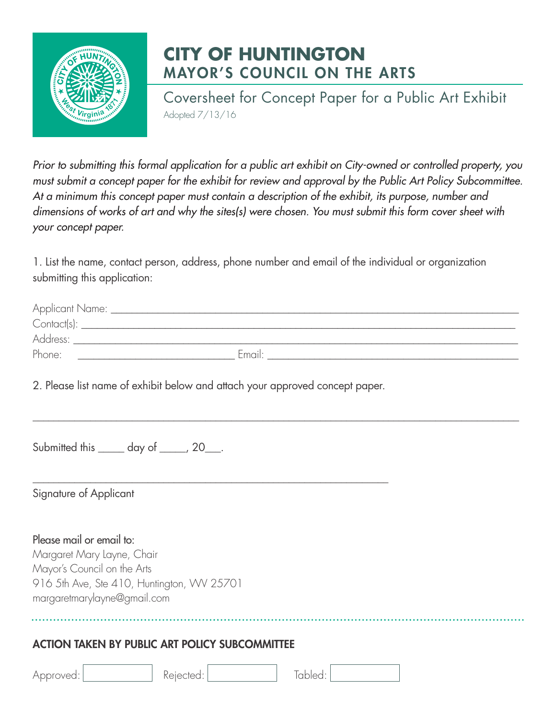

## **CITY OF HUNTINGTON** MAYOR'S COUNCIL ON THE ARTS

Coversheet for Concept Paper for a Public Art Exhibit Adopted 7/13/16

*Prior to submitting this formal application for a public art exhibit on City-owned or controlled property, you must submit a concept paper for the exhibit for review and approval by the Public Art Policy Subcommittee. At a minimum this concept paper must contain a description of the exhibit, its purpose, number and dimensions of works of art and why the sites(s) were chosen. You must submit this form cover sheet with your concept paper.*

1. List the name, contact person, address, phone number and email of the individual or organization submitting this application:

|                                                                                                                      | 2. Please list name of exhibit below and attach your approved concept paper. |         |  |
|----------------------------------------------------------------------------------------------------------------------|------------------------------------------------------------------------------|---------|--|
|                                                                                                                      | Submitted this ______ day of _____, 20___.                                   |         |  |
| Signature of Applicant                                                                                               |                                                                              |         |  |
| Please mail or email to:<br>Margaret Mary Layne, Chair<br>Mayor's Council on the Arts<br>margaretmarylayne@gmail.com | 916 5th Ave, Ste 410, Huntington, WV 25701                                   |         |  |
|                                                                                                                      | <b>ACTION TAKEN BY PUBLIC ART POLICY SUBCOMMITTEE</b>                        |         |  |
| Approved:                                                                                                            | Rejected:                                                                    | Tabled: |  |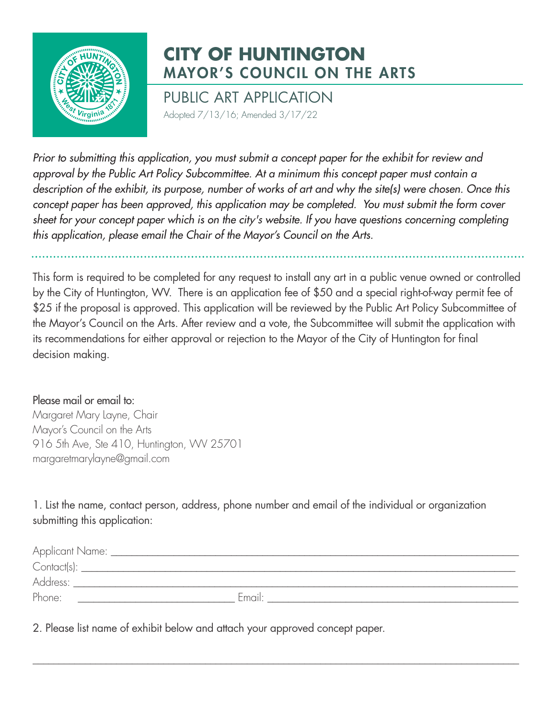

## **CITY OF HUNTINGTON** MAYOR'S COUNCIL ON THE ARTS

PUBLIC ART APPLICATION Adopted 7/13/16; Amended 3/17/22

*Prior to submitting this application, you must submit a concept paper for the exhibit for review and approval by the Public Art Policy Subcommittee. At a minimum this concept paper must contain a description of the exhibit, its purpose, number of works of art and why the site(s) were chosen. Once this concept paper has been approved, this application may be completed. You must submit the form cover sheet for your concept paper which is on the cit*y's *website. If you have questions concerning completing this application, please email the Chair of the Mayor's Council on the Arts.*

This form is required to be completed for any request to install any art in a public venue owned or controlled by the City of Huntington, WV. There is an application fee of \$50 and a special right-of-way permit fee of \$25 if the proposal is approved. This application will be reviewed by the Public Art Policy Subcommittee of the Mayor's Council on the Arts. After review and a vote, the Subcommittee will submit the application with its recommendations for either approval or rejection to the Mayor of the City of Huntington for final decision making.

## Please mail or email to:

Margaret Mary Layne, Chair Mayor's Council on the Arts 916 5th Ave, Ste 410, Huntington, WV 25701 margaretmarylayne@gmail.com

1. List the name, contact person, address, phone number and email of the individual or organization submitting this application:

| Applicant Name: __ |        |
|--------------------|--------|
| Contact(s):        |        |
| Address:           |        |
| Phone:             | Email: |

 $\_$  ,  $\_$  ,  $\_$  ,  $\_$  ,  $\_$  ,  $\_$  ,  $\_$  ,  $\_$  ,  $\_$  ,  $\_$  ,  $\_$  ,  $\_$  ,  $\_$  ,  $\_$  ,  $\_$  ,  $\_$  ,  $\_$  ,  $\_$  ,  $\_$  ,  $\_$  ,  $\_$  ,  $\_$  ,  $\_$  ,  $\_$  ,  $\_$  ,  $\_$  ,  $\_$  ,  $\_$  ,  $\_$  ,  $\_$  ,  $\_$  ,  $\_$  ,  $\_$  ,  $\_$  ,  $\_$  ,  $\_$  ,  $\_$  ,

2. Please list name of exhibit below and attach your approved concept paper.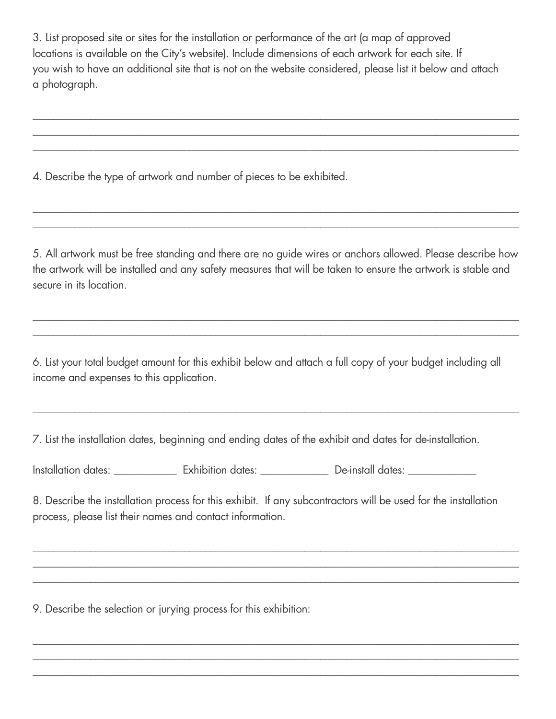3. List proposed site or sites for the installation or performance of the art (a map of approved locations is available on the City's website). Include dimensions of each artwork for each site. If you wish to have an additional site that is not on the website considered, please list it below and attach a photograph.

 $\_$  ,  $\_$  ,  $\_$  ,  $\_$  ,  $\_$  ,  $\_$  ,  $\_$  ,  $\_$  ,  $\_$  ,  $\_$  ,  $\_$  ,  $\_$  ,  $\_$  ,  $\_$  ,  $\_$  ,  $\_$  ,  $\_$  ,  $\_$  ,  $\_$  ,  $\_$  ,  $\_$  ,  $\_$  ,  $\_$  ,  $\_$  ,  $\_$  ,  $\_$  ,  $\_$  ,  $\_$  ,  $\_$  ,  $\_$  ,  $\_$  ,  $\_$  ,  $\_$  ,  $\_$  ,  $\_$  ,  $\_$  ,  $\_$  ,  $\_$  ,  $\_$  ,  $\_$  ,  $\_$  ,  $\_$  ,  $\_$  ,  $\_$  ,  $\_$  ,  $\_$  ,  $\_$  ,  $\_$  ,  $\_$  ,  $\_$  ,  $\_$  ,  $\_$  ,  $\_$  ,  $\_$  ,  $\_$  ,  $\_$  ,  $\_$  ,  $\_$  ,  $\_$  ,  $\_$  ,  $\_$  ,  $\_$  ,  $\_$  ,  $\_$  ,  $\_$  ,  $\_$  ,  $\_$  ,  $\_$  ,  $\_$  ,  $\_$  ,  $\_$  ,  $\_$  ,  $\_$  ,  $\_$  , \_\_\_\_\_\_\_\_\_\_\_\_\_\_\_\_\_\_\_\_\_\_\_\_\_\_\_\_\_\_\_\_\_\_\_\_\_\_\_\_\_\_\_\_\_\_\_\_\_\_\_\_\_\_\_\_\_\_\_\_\_\_\_\_\_\_\_\_\_\_\_\_\_\_\_\_\_\_\_\_\_\_\_\_\_\_\_\_\_\_\_\_\_

4. Describe the type of artwork and number of pieces to be exhibited.

5. All artwork must be free standing and there are no guide wires or anchors allowed. Please describe how the artwork will be installed and any safety measures that will be taken to ensure the artwork is stable and secure in its location.

 $\_$  ,  $\_$  ,  $\_$  ,  $\_$  ,  $\_$  ,  $\_$  ,  $\_$  ,  $\_$  ,  $\_$  ,  $\_$  ,  $\_$  ,  $\_$  ,  $\_$  ,  $\_$  ,  $\_$  ,  $\_$  ,  $\_$  ,  $\_$  ,  $\_$  ,  $\_$  ,  $\_$  ,  $\_$  ,  $\_$  ,  $\_$  ,  $\_$  ,  $\_$  ,  $\_$  ,  $\_$  ,  $\_$  ,  $\_$  ,  $\_$  ,  $\_$  ,  $\_$  ,  $\_$  ,  $\_$  ,  $\_$  ,  $\_$  , \_\_\_\_\_\_\_\_\_\_\_\_\_\_\_\_\_\_\_\_\_\_\_\_\_\_\_\_\_\_\_\_\_\_\_\_\_\_\_\_\_\_\_\_\_\_\_\_\_\_\_\_\_\_\_\_\_\_\_\_\_\_\_\_\_\_\_\_\_\_\_\_\_\_\_\_\_\_\_\_\_\_\_\_\_\_\_\_\_\_\_\_\_

 $\_$  ,  $\_$  ,  $\_$  ,  $\_$  ,  $\_$  ,  $\_$  ,  $\_$  ,  $\_$  ,  $\_$  ,  $\_$  ,  $\_$  ,  $\_$  ,  $\_$  ,  $\_$  ,  $\_$  ,  $\_$  ,  $\_$  ,  $\_$  ,  $\_$  ,  $\_$  ,  $\_$  ,  $\_$  ,  $\_$  ,  $\_$  ,  $\_$  ,  $\_$  ,  $\_$  ,  $\_$  ,  $\_$  ,  $\_$  ,  $\_$  ,  $\_$  ,  $\_$  ,  $\_$  ,  $\_$  ,  $\_$  ,  $\_$  ,  $\_$  ,  $\_$  ,  $\_$  ,  $\_$  ,  $\_$  ,  $\_$  ,  $\_$  ,  $\_$  ,  $\_$  ,  $\_$  ,  $\_$  ,  $\_$  ,  $\_$  ,  $\_$  ,  $\_$  ,  $\_$  ,  $\_$  ,  $\_$  ,  $\_$  ,  $\_$  ,  $\_$  ,  $\_$  ,  $\_$  ,  $\_$  ,  $\_$  ,  $\_$  ,  $\_$  ,  $\_$  ,  $\_$  ,  $\_$  ,  $\_$  ,  $\_$  ,  $\_$  ,  $\_$  ,  $\_$  ,  $\_$  ,  $\_$  ,

6. List your total budget amount for this exhibit below and attach a full copy of your budget including all income and expenses to this application.

 $\_$  ,  $\_$  ,  $\_$  ,  $\_$  ,  $\_$  ,  $\_$  ,  $\_$  ,  $\_$  ,  $\_$  ,  $\_$  ,  $\_$  ,  $\_$  ,  $\_$  ,  $\_$  ,  $\_$  ,  $\_$  ,  $\_$  ,  $\_$  ,  $\_$  ,  $\_$  ,  $\_$  ,  $\_$  ,  $\_$  ,  $\_$  ,  $\_$  ,  $\_$  ,  $\_$  ,  $\_$  ,  $\_$  ,  $\_$  ,  $\_$  ,  $\_$  ,  $\_$  ,  $\_$  ,  $\_$  ,  $\_$  ,  $\_$  ,

7. List the installation dates, beginning and ending dates of the exhibit and dates for de-installation.

Installation dates: exhibition dates:  $\blacksquare$  De-install dates:

8. Describe the installation process for this exhibit. If any subcontractors will be used for the installation process, please list their names and contact information.

 $\_$  ,  $\_$  ,  $\_$  ,  $\_$  ,  $\_$  ,  $\_$  ,  $\_$  ,  $\_$  ,  $\_$  ,  $\_$  ,  $\_$  ,  $\_$  ,  $\_$  ,  $\_$  ,  $\_$  ,  $\_$  ,  $\_$  ,  $\_$  ,  $\_$  ,  $\_$  ,  $\_$  ,  $\_$  ,  $\_$  ,  $\_$  ,  $\_$  ,  $\_$  ,  $\_$  ,  $\_$  ,  $\_$  ,  $\_$  ,  $\_$  ,  $\_$  ,  $\_$  ,  $\_$  ,  $\_$  ,  $\_$  ,  $\_$  , \_\_\_\_\_\_\_\_\_\_\_\_\_\_\_\_\_\_\_\_\_\_\_\_\_\_\_\_\_\_\_\_\_\_\_\_\_\_\_\_\_\_\_\_\_\_\_\_\_\_\_\_\_\_\_\_\_\_\_\_\_\_\_\_\_\_\_\_\_\_\_\_\_\_\_\_\_\_\_\_\_\_\_\_\_\_\_\_\_\_\_\_\_  $\_$  ,  $\_$  ,  $\_$  ,  $\_$  ,  $\_$  ,  $\_$  ,  $\_$  ,  $\_$  ,  $\_$  ,  $\_$  ,  $\_$  ,  $\_$  ,  $\_$  ,  $\_$  ,  $\_$  ,  $\_$  ,  $\_$  ,  $\_$  ,  $\_$  ,  $\_$  ,  $\_$  ,  $\_$  ,  $\_$  ,  $\_$  ,  $\_$  ,  $\_$  ,  $\_$  ,  $\_$  ,  $\_$  ,  $\_$  ,  $\_$  ,  $\_$  ,  $\_$  ,  $\_$  ,  $\_$  ,  $\_$  ,  $\_$  ,

 $\_$  ,  $\_$  ,  $\_$  ,  $\_$  ,  $\_$  ,  $\_$  ,  $\_$  ,  $\_$  ,  $\_$  ,  $\_$  ,  $\_$  ,  $\_$  ,  $\_$  ,  $\_$  ,  $\_$  ,  $\_$  ,  $\_$  ,  $\_$  ,  $\_$  ,  $\_$  ,  $\_$  ,  $\_$  ,  $\_$  ,  $\_$  ,  $\_$  ,  $\_$  ,  $\_$  ,  $\_$  ,  $\_$  ,  $\_$  ,  $\_$  ,  $\_$  ,  $\_$  ,  $\_$  ,  $\_$  ,  $\_$  ,  $\_$  , \_\_\_\_\_\_\_\_\_\_\_\_\_\_\_\_\_\_\_\_\_\_\_\_\_\_\_\_\_\_\_\_\_\_\_\_\_\_\_\_\_\_\_\_\_\_\_\_\_\_\_\_\_\_\_\_\_\_\_\_\_\_\_\_\_\_\_\_\_\_\_\_\_\_\_\_\_\_\_\_\_\_\_\_\_\_\_\_\_\_\_\_\_  $\_$  ,  $\_$  ,  $\_$  ,  $\_$  ,  $\_$  ,  $\_$  ,  $\_$  ,  $\_$  ,  $\_$  ,  $\_$  ,  $\_$  ,  $\_$  ,  $\_$  ,  $\_$  ,  $\_$  ,  $\_$  ,  $\_$  ,  $\_$  ,  $\_$  ,  $\_$  ,  $\_$  ,  $\_$  ,  $\_$  ,  $\_$  ,  $\_$  ,  $\_$  ,  $\_$  ,  $\_$  ,  $\_$  ,  $\_$  ,  $\_$  ,  $\_$  ,  $\_$  ,  $\_$  ,  $\_$  ,  $\_$  ,  $\_$  ,

9. Describe the selection or jurying process for this exhibition: